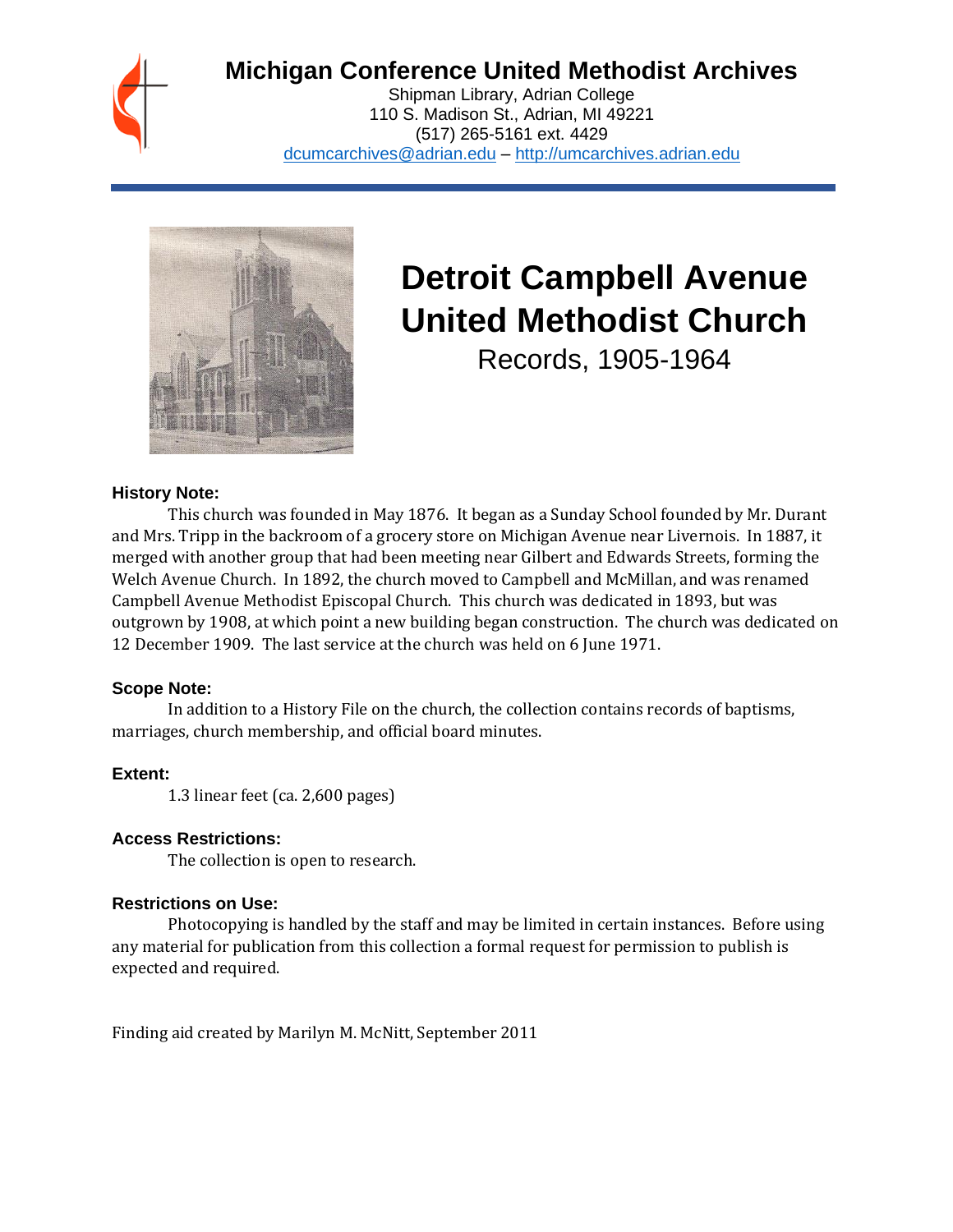

### **Michigan Conference United Methodist Archives**

Shipman Library, Adrian College 110 S. Madison St., Adrian, MI 49221 (517) 265-5161 ext. 4429 [dcumcarchives@adrian.edu](mailto:dcumcarchives@adrian.edu) – [http://umcarchives.adrian.edu](http://umcarchives.adrian.edu/)



# **Detroit Campbell Avenue United Methodist Church**

Records, 1905-1964

#### **History Note:**

This church was founded in May 1876. It began as a Sunday School founded by Mr. Durant and Mrs. Tripp in the backroom of a grocery store on Michigan Avenue near Livernois. In 1887, it merged with another group that had been meeting near Gilbert and Edwards Streets, forming the Welch Avenue Church. In 1892, the church moved to Campbell and McMillan, and was renamed Campbell Avenue Methodist Episcopal Church. This church was dedicated in 1893, but was outgrown by 1908, at which point a new building began construction. The church was dedicated on 12 December 1909. The last service at the church was held on 6 June 1971.

#### **Scope Note:**

In addition to a History File on the church, the collection contains records of baptisms, marriages, church membership, and official board minutes.

#### **Extent:**

1.3 linear feet (ca. 2,600 pages)

#### **Access Restrictions:**

The collection is open to research.

#### **Restrictions on Use:**

Photocopying is handled by the staff and may be limited in certain instances. Before using any material for publication from this collection a formal request for permission to publish is expected and required.

Finding aid created by Marilyn M. McNitt, September 2011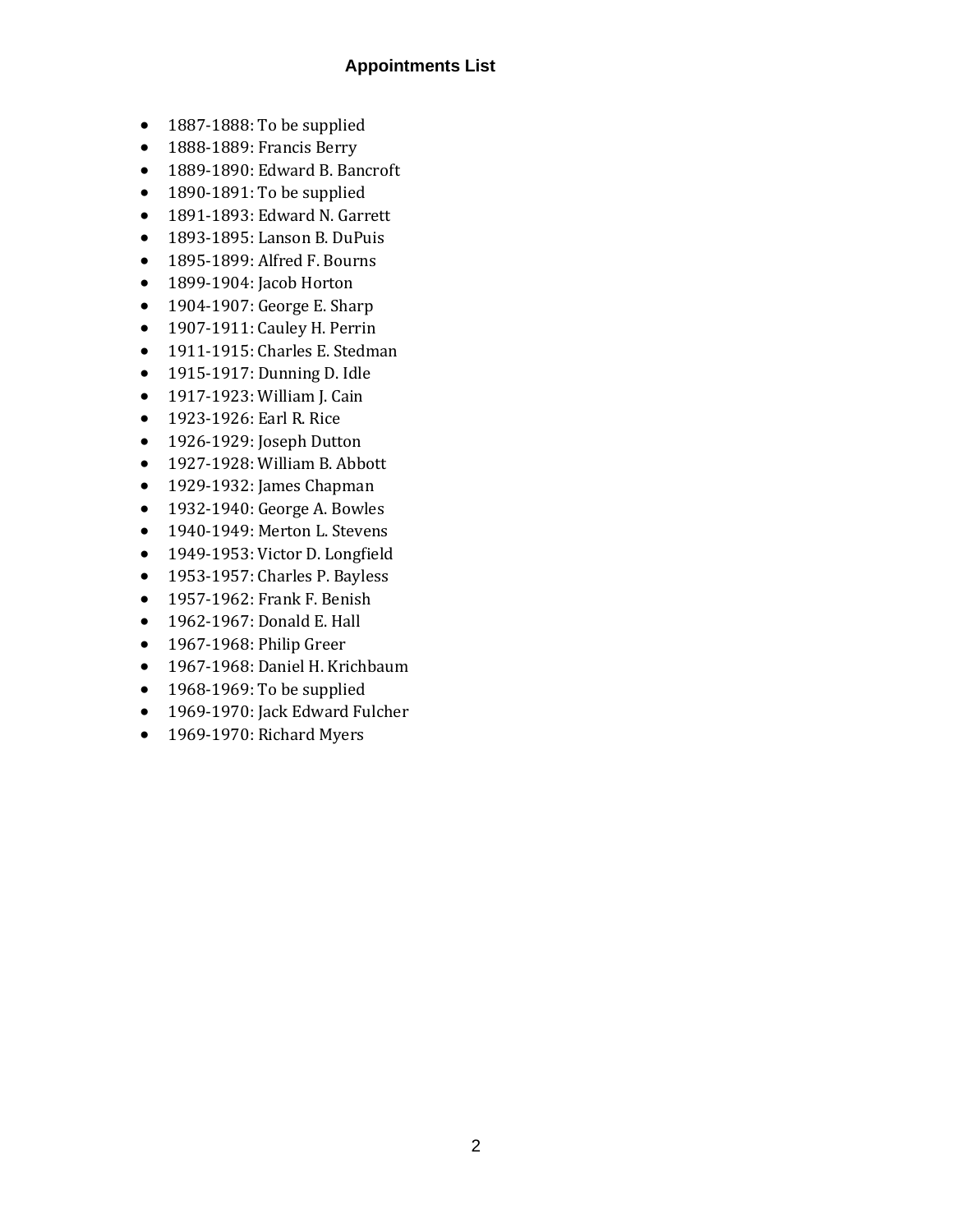#### **Appointments List**

- 1887-1888: To be supplied
- 1888-1889: Francis Berry
- 1889-1890: Edward B. Bancroft
- 1890-1891: To be supplied
- 1891-1893: Edward N. Garrett
- 1893-1895: Lanson B. DuPuis
- 1895-1899: Alfred F. Bourns
- 1899-1904: Jacob Horton
- 1904-1907: George E. Sharp
- 1907-1911: Cauley H. Perrin
- 1911-1915: Charles E. Stedman
- 1915-1917: Dunning D. Idle
- 1917-1923: William J. Cain
- 1923-1926: Earl R. Rice
- 1926-1929: Joseph Dutton
- 1927-1928: William B. Abbott
- 1929-1932: James Chapman
- 1932-1940: George A. Bowles
- 1940-1949: Merton L. Stevens
- 1949-1953: Victor D. Longfield
- 1953-1957: Charles P. Bayless
- 1957-1962: Frank F. Benish
- 1962-1967: Donald E. Hall
- 1967-1968: Philip Greer
- 1967-1968: Daniel H. Krichbaum
- 1968-1969: To be supplied
- 1969-1970: Jack Edward Fulcher
- 1969-1970: Richard Myers